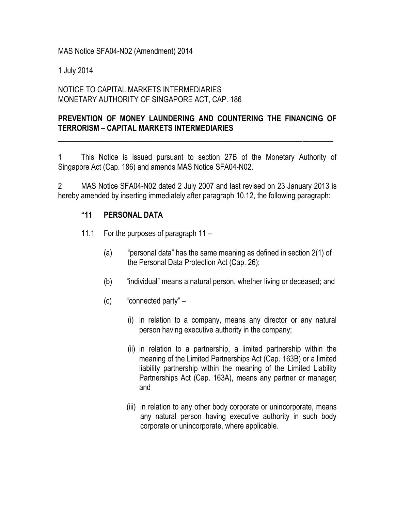MAS Notice SFA04-N02 (Amendment) 2014

1 July 2014

## NOTICE TO CAPITAL MARKETS INTERMEDIARIES MONETARY AUTHORITY OF SINGAPORE ACT, CAP. 186

## **PREVENTION OF MONEY LAUNDERING AND COUNTERING THE FINANCING OF TERRORISM – CAPITAL MARKETS INTERMEDIARIES**

\_\_\_\_\_\_\_\_\_\_\_\_\_\_\_\_\_\_\_\_\_\_\_\_\_\_\_\_\_\_\_\_\_\_\_\_\_\_\_\_\_\_\_\_\_\_\_\_\_\_\_\_\_\_\_\_\_\_\_\_\_\_\_\_\_\_\_\_\_\_\_\_

1 This Notice is issued pursuant to section 27B of the Monetary Authority of Singapore Act (Cap. 186) and amends MAS Notice SFA04-N02.

2 MAS Notice SFA04-N02 dated 2 July 2007 and last revised on 23 January 2013 is hereby amended by inserting immediately after paragraph 10.12, the following paragraph:

## **"11 PERSONAL DATA**

- 11.1 For the purposes of paragraph 11
	- (a) "personal data" has the same meaning as defined in section 2(1) of the Personal Data Protection Act (Cap. 26);
	- (b) "individual" means a natural person, whether living or deceased; and
	- (c) "connected party"
		- (i) in relation to a company, means any director or any natural person having executive authority in the company;
		- (ii) in relation to a partnership, a limited partnership within the meaning of the Limited Partnerships Act (Cap. 163B) or a limited liability partnership within the meaning of the Limited Liability Partnerships Act (Cap. 163A), means any partner or manager; and
		- (iii) in relation to any other body corporate or unincorporate, means any natural person having executive authority in such body corporate or unincorporate, where applicable.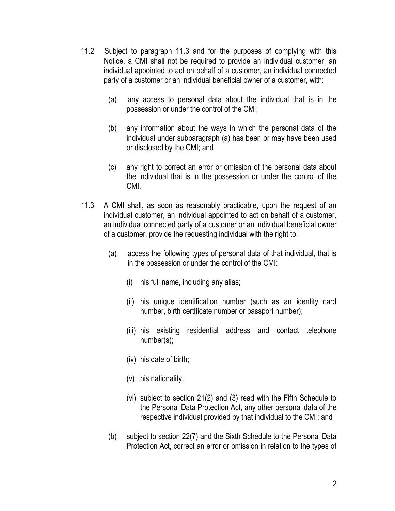- 11.2 Subject to paragraph 11.3 and for the purposes of complying with this Notice, a CMI shall not be required to provide an individual customer, an individual appointed to act on behalf of a customer, an individual connected party of a customer or an individual beneficial owner of a customer, with:
	- (a) any access to personal data about the individual that is in the possession or under the control of the CMI;
	- (b) any information about the ways in which the personal data of the individual under subparagraph (a) has been or may have been used or disclosed by the CMI; and
	- (c) any right to correct an error or omission of the personal data about the individual that is in the possession or under the control of the CMI.
- 11.3 A CMI shall, as soon as reasonably practicable, upon the request of an individual customer, an individual appointed to act on behalf of a customer, an individual connected party of a customer or an individual beneficial owner of a customer, provide the requesting individual with the right to:
	- (a) access the following types of personal data of that individual, that is in the possession or under the control of the CMI:
		- (i) his full name, including any alias;
		- (ii) his unique identification number (such as an identity card number, birth certificate number or passport number);
		- (iii) his existing residential address and contact telephone number(s);
		- (iv) his date of birth;
		- (v) his nationality;
		- (vi) subject to section 21(2) and (3) read with the Fifth Schedule to the Personal Data Protection Act, any other personal data of the respective individual provided by that individual to the CMI; and
	- (b) subject to section 22(7) and the Sixth Schedule to the Personal Data Protection Act, correct an error or omission in relation to the types of